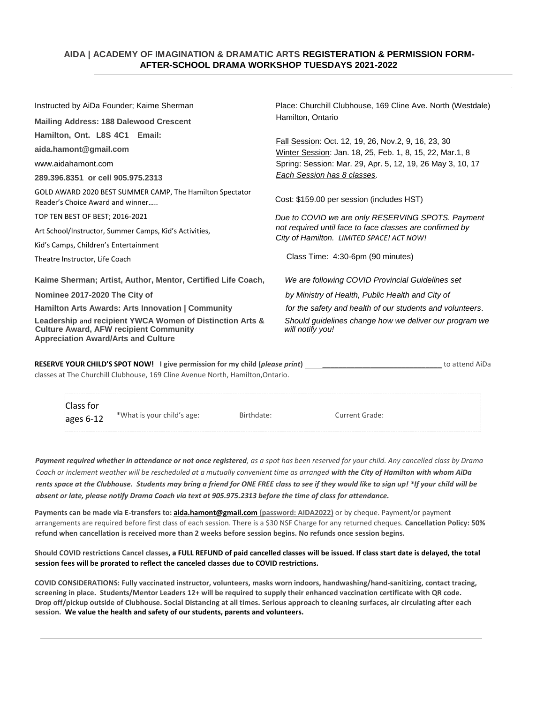# **AIDA | ACADEMY OF IMAGINATION & DRAMATIC ARTS REGISTERATION & PERMISSION FORM- AFTER-SCHOOL DRAMA WORKSHOP TUESDAYS 2021-2022**

| Instructed by AiDa Founder; Kaime Sherman                                                                                                                | Place: Churchill Clubhouse, 169 Cline Ave. North (Westdale)<br>Hamilton, Ontario                                                                                                                             |  |  |
|----------------------------------------------------------------------------------------------------------------------------------------------------------|--------------------------------------------------------------------------------------------------------------------------------------------------------------------------------------------------------------|--|--|
| <b>Mailing Address: 188 Dalewood Crescent</b>                                                                                                            |                                                                                                                                                                                                              |  |  |
| Hamilton, Ont. L8S 4C1 Email:<br>aida.hamont@gmail.com<br>www.aidahamont.com<br>289,396,8351 or cell 905,975.2313                                        | Fall Session: Oct. 12, 19, 26, Nov.2, 9, 16, 23, 30<br>Winter Session: Jan. 18, 25, Feb. 1, 8, 15, 22, Mar.1, 8<br>Spring: Session: Mar. 29, Apr. 5, 12, 19, 26 May 3, 10, 17<br>Each Session has 8 classes. |  |  |
| GOLD AWARD 2020 BEST SUMMER CAMP, The Hamilton Spectator<br>Reader's Choice Award and winner                                                             | Cost: \$159.00 per session (includes HST)                                                                                                                                                                    |  |  |
| TOP TEN BEST OF BEST; 2016-2021<br>Art School/Instructor, Summer Camps, Kid's Activities,<br>Kid's Camps, Children's Entertainment                       | Due to COVID we are only RESERVING SPOTS. Payment<br>not required until face to face classes are confirmed by<br>City of Hamilton. LIMITED SPACE! ACT NOW!                                                   |  |  |
| Theatre Instructor, Life Coach                                                                                                                           | Class Time: 4:30-6pm (90 minutes)                                                                                                                                                                            |  |  |
| Kaime Sherman; Artist, Author, Mentor, Certified Life Coach,                                                                                             | We are following COVID Provincial Guidelines set                                                                                                                                                             |  |  |
| Nominee 2017-2020 The City of                                                                                                                            | by Ministry of Health, Public Health and City of                                                                                                                                                             |  |  |
| Hamilton Arts Awards: Arts Innovation   Community                                                                                                        | for the safety and health of our students and volunteers.                                                                                                                                                    |  |  |
| Leadership and recipient YWCA Women of Distinction Arts &<br><b>Culture Award, AFW recipient Community</b><br><b>Appreciation Award/Arts and Culture</b> | Should guidelines change how we deliver our program we<br>will notify you!                                                                                                                                   |  |  |

| <b>RESERVE YOUR CHILD'S SPOT NOW!</b> I give permission for my child (please print) | to attend AiDa |
|-------------------------------------------------------------------------------------|----------------|
| classes at The Churchill Clubhouse, 169 Cline Avenue North, Hamilton, Ontario.      |                |

| Class for<br>ages 6-12 | *What is your child's age: | Birthdate: | Current Grade: |  |
|------------------------|----------------------------|------------|----------------|--|
|------------------------|----------------------------|------------|----------------|--|

*Payment required whether in attendance or not once registered, as a spot has been reserved for your child. Any cancelled class by Drama Coach or inclement weather will be rescheduled at a mutually convenient time as arranged with the City of Hamilton with whom AiDa rents space at the Clubhouse. Students may bring a friend for ONE FREE class to see if they would like to sign up! \*If your child will be absent or late, please notify Drama Coach via text at 905.975.2313 before the time of class for attendance.* 

Payments can be made via E-transfers to: **aida.hamont@gmail.com** (password: AIDA2022) or by cheque. Payment/or payment arrangements are required before first class of each session. There is a \$30 NSF Charge for any returned cheques. **Cancellation Policy: 50% refund when cancellation is received more than 2 weeks before session begins. No refunds once session begins.** 

**Should COVID restrictions Cancel classes, a FULL REFUND of paid cancelled classes will be issued. If class start date is delayed, the total session fees will be prorated to reflect the canceled classes due to COVID restrictions.** 

**COVID CONSIDERATIONS: Fully vaccinated instructor, volunteers, masks worn indoors, handwashing/hand-sanitizing, contact tracing, screening in place. Students/Mentor Leaders 12+ will be required to supply their enhanced vaccination certificate with QR code. Drop off/pickup outside of Clubhouse. Social Distancing at all times. Serious approach to cleaning surfaces, air circulating after each session. We value the health and safety of our students, parents and volunteers.**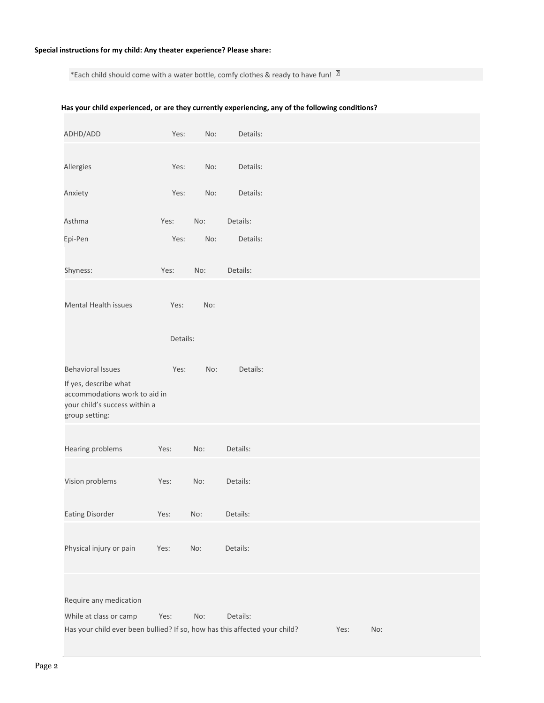## **Special instructions for my child: Any theater experience? Please share:**

\*Each child should come with a water bottle, comfy clothes & ready to have fun!  $\mathbb{\overline{B}}$ 

### **Has your child experienced, or are they currently experiencing, any of the following conditions?**

| ADHD/ADD                                                                                                                              | Yes:     | No: | Details: |      |     |  |
|---------------------------------------------------------------------------------------------------------------------------------------|----------|-----|----------|------|-----|--|
| Allergies                                                                                                                             | Yes:     | No: | Details: |      |     |  |
| Anxiety                                                                                                                               | Yes:     | No: | Details: |      |     |  |
| Asthma                                                                                                                                | Yes:     | No: | Details: |      |     |  |
| Epi-Pen                                                                                                                               | Yes:     | No: | Details: |      |     |  |
| Shyness:                                                                                                                              | Yes:     | No: | Details: |      |     |  |
| Mental Health issues                                                                                                                  | Yes:     | No: |          |      |     |  |
|                                                                                                                                       | Details: |     |          |      |     |  |
| <b>Behavioral Issues</b><br>If yes, describe what<br>accommodations work to aid in<br>your child's success within a<br>group setting: | Yes:     | No: | Details: |      |     |  |
| Hearing problems                                                                                                                      | Yes:     | No: | Details: |      |     |  |
| Vision problems                                                                                                                       | Yes:     | No: | Details: |      |     |  |
| <b>Eating Disorder</b>                                                                                                                | Yes:     | No: | Details: |      |     |  |
| Physical injury or pain                                                                                                               | Yes:     | No: | Details: |      |     |  |
| Require any medication                                                                                                                |          |     |          |      |     |  |
| While at class or camp                                                                                                                | Yes:     | No: | Details: |      |     |  |
| Has your child ever been bullied? If so, how has this affected your child?                                                            |          |     |          | Yes: | No: |  |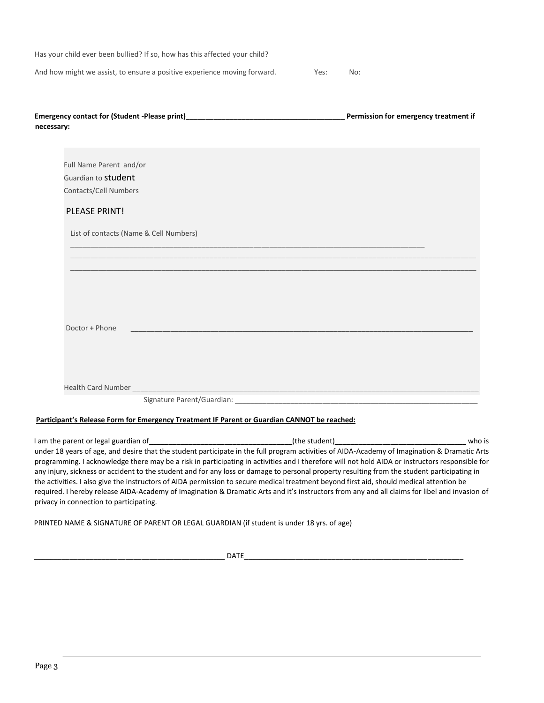| Has your child ever been bullied? If so, how has this affected your child? |      |     |
|----------------------------------------------------------------------------|------|-----|
| And how might we assist, to ensure a positive experience moving forward.   | Yes: | No: |

| <b>Emergency contact for (Student -Please print)</b> | Permission for emergency treatment if |
|------------------------------------------------------|---------------------------------------|
| necessary:                                           |                                       |

\_\_\_\_\_\_\_\_\_\_\_\_\_\_\_\_\_\_\_\_\_\_\_\_\_\_\_\_\_\_\_\_\_\_\_\_\_\_\_\_\_\_\_\_\_\_\_\_\_\_\_\_\_\_\_\_\_\_\_\_\_\_\_\_\_\_\_\_\_\_\_\_\_\_\_\_\_\_\_\_\_\_\_\_\_\_\_\_\_

Full Name Parent and/or Guardian to student Contacts/Cell Numbers

## PLEASE PRINT!

List of contacts (Name & Cell Numbers)

| Doctor + Phone            |                              |
|---------------------------|------------------------------|
|                           |                              |
|                           |                              |
|                           |                              |
| <b>Health Card Number</b> |                              |
|                           | Signature Parent/Guardian: _ |

\_\_\_\_\_\_\_\_\_\_\_\_\_\_\_\_\_\_\_\_\_\_\_\_\_\_\_\_\_\_\_\_\_\_\_\_\_\_\_\_\_\_\_\_\_\_\_\_\_\_\_\_\_\_\_\_\_\_\_\_\_\_\_\_\_\_\_\_\_\_\_\_\_\_\_\_\_\_\_\_\_\_\_\_\_\_\_\_\_\_\_\_\_\_\_\_\_\_\_\_\_\_ \_\_\_\_\_\_\_\_\_\_\_\_\_\_\_\_\_\_\_\_\_\_\_\_\_\_\_\_\_\_\_\_\_\_\_\_\_\_\_\_\_\_\_\_\_\_\_\_\_\_\_\_\_\_\_\_\_\_\_\_\_\_\_\_\_\_\_\_\_\_\_\_\_\_\_\_\_\_\_\_\_\_\_\_\_\_\_\_\_\_\_\_\_\_\_\_\_\_\_\_\_\_

### **Participant's Release Form for Emergency Treatment IF Parent or Guardian CANNOT be reached:**

I am the parent or legal guardian of\_\_\_\_\_\_\_\_\_\_\_\_\_\_\_\_\_\_\_\_\_\_\_\_\_\_\_\_\_\_\_\_\_\_\_\_(the student)\_\_\_\_\_\_\_\_\_\_\_\_\_\_\_\_\_\_\_\_\_\_\_\_\_\_\_\_\_\_\_\_\_ who is under 18 years of age, and desire that the student participate in the full program activities of AIDA-Academy of Imagination & Dramatic Arts programming. I acknowledge there may be a risk in participating in activities and I therefore will not hold AIDA or instructors responsible for any injury, sickness or accident to the student and for any loss or damage to personal property resulting from the student participating in the activities. I also give the instructors of AIDA permission to secure medical treatment beyond first aid, should medical attention be required. I hereby release AIDA-Academy of Imagination & Dramatic Arts and it's instructors from any and all claims for libel and invasion of privacy in connection to participating.

PRINTED NAME & SIGNATURE OF PARENT OR LEGAL GUARDIAN (if student is under 18 yrs. of age)

\_\_\_\_\_\_\_\_\_\_\_\_\_\_\_\_\_\_\_\_\_\_\_\_\_\_\_\_\_\_\_\_\_\_\_\_\_\_\_\_\_\_\_\_\_\_\_\_ DATE\_\_\_\_\_\_\_\_\_\_\_\_\_\_\_\_\_\_\_\_\_\_\_\_\_\_\_\_\_\_\_\_\_\_\_\_\_\_\_\_\_\_\_\_\_\_\_\_\_\_\_\_\_\_\_